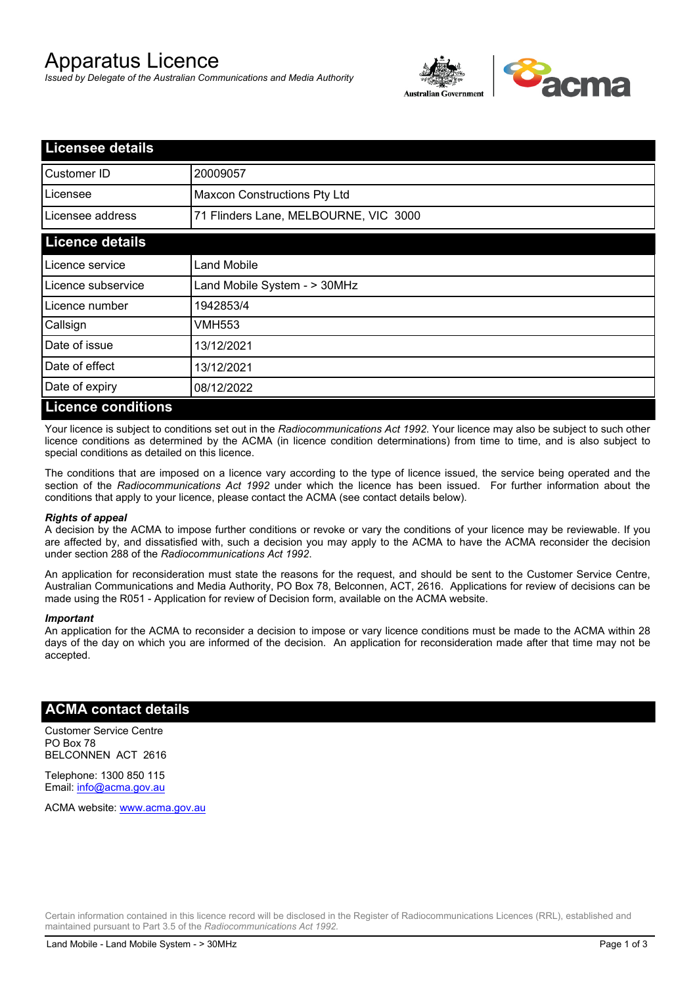# Apparatus Licence

*Issued by Delegate of the Australian Communications and Media Authority*



| <b>Licensee details</b>   |                                       |  |
|---------------------------|---------------------------------------|--|
| Customer ID               | 20009057                              |  |
| Licensee                  | Maxcon Constructions Pty Ltd          |  |
| Licensee address          | 71 Flinders Lane, MELBOURNE, VIC 3000 |  |
| <b>Licence details</b>    |                                       |  |
| Licence service           | <b>Land Mobile</b>                    |  |
| Licence subservice        | Land Mobile System - > 30MHz          |  |
| Licence number            | 1942853/4                             |  |
| Callsign                  | VMH553                                |  |
| Date of issue             | 13/12/2021                            |  |
| Date of effect            | 13/12/2021                            |  |
| Date of expiry            | 08/12/2022                            |  |
| <b>Licence conditions</b> |                                       |  |

Your licence is subject to conditions set out in the *Radiocommunications Act 1992*. Your licence may also be subject to such other licence conditions as determined by the ACMA (in licence condition determinations) from time to time, and is also subject to special conditions as detailed on this licence.

The conditions that are imposed on a licence vary according to the type of licence issued, the service being operated and the section of the *Radiocommunications Act 1992* under which the licence has been issued. For further information about the conditions that apply to your licence, please contact the ACMA (see contact details below).

#### *Rights of appeal*

A decision by the ACMA to impose further conditions or revoke or vary the conditions of your licence may be reviewable. If you are affected by, and dissatisfied with, such a decision you may apply to the ACMA to have the ACMA reconsider the decision under section 288 of the *Radiocommunications Act 1992*.

An application for reconsideration must state the reasons for the request, and should be sent to the Customer Service Centre, Australian Communications and Media Authority, PO Box 78, Belconnen, ACT, 2616. Applications for review of decisions can be made using the R051 - Application for review of Decision form, available on the ACMA website.

#### *Important*

An application for the ACMA to reconsider a decision to impose or vary licence conditions must be made to the ACMA within 28 days of the day on which you are informed of the decision. An application for reconsideration made after that time may not be accepted.

### **ACMA contact details**

Customer Service Centre PO Box 78 BELCONNEN ACT 2616

Telephone: 1300 850 115 Email: info@acma.gov.au

ACMA website: www.acma.gov.au

Certain information contained in this licence record will be disclosed in the Register of Radiocommunications Licences (RRL), established and maintained pursuant to Part 3.5 of the *Radiocommunications Act 1992.*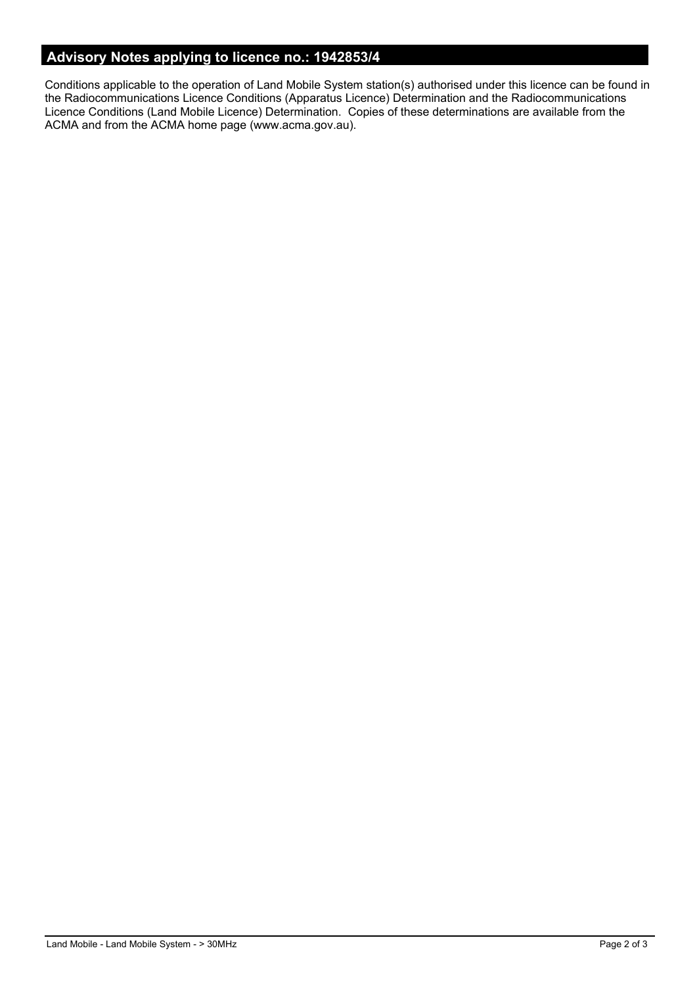## **Advisory Notes applying to licence no.: 1942853/4**

Conditions applicable to the operation of Land Mobile System station(s) authorised under this licence can be found in the Radiocommunications Licence Conditions (Apparatus Licence) Determination and the Radiocommunications Licence Conditions (Land Mobile Licence) Determination. Copies of these determinations are available from the ACMA and from the ACMA home page (www.acma.gov.au).